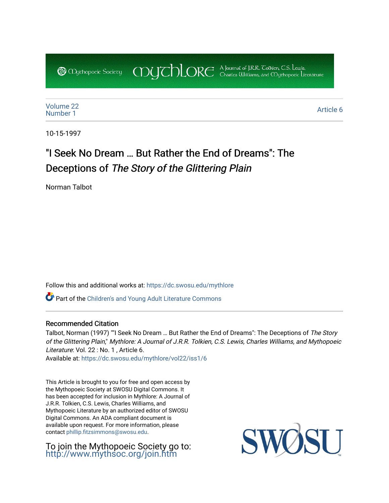CDUCHLORE A Journal of J.R.R. Coltien, C.S. Lewis,<br>CDUCHLORE Charles Williams, and Obyethopoeic Literacure **@** Oychopoeic Sociecy

[Volume 22](https://dc.swosu.edu/mythlore/vol22) [Number 1](https://dc.swosu.edu/mythlore/vol22/iss1) Article 6<br>Number 1

10-15-1997

## "I Seek No Dream … But Rather the End of Dreams": The Deceptions of The Story of the Glittering Plain

Norman Talbot

Follow this and additional works at: [https://dc.swosu.edu/mythlore](https://dc.swosu.edu/mythlore?utm_source=dc.swosu.edu%2Fmythlore%2Fvol22%2Fiss1%2F6&utm_medium=PDF&utm_campaign=PDFCoverPages) 

Part of the [Children's and Young Adult Literature Commons](http://network.bepress.com/hgg/discipline/1289?utm_source=dc.swosu.edu%2Fmythlore%2Fvol22%2Fiss1%2F6&utm_medium=PDF&utm_campaign=PDFCoverPages) 

#### Recommended Citation

Talbot, Norman (1997) ""I Seek No Dream … But Rather the End of Dreams": The Deceptions of The Story of the Glittering Plain," Mythlore: A Journal of J.R.R. Tolkien, C.S. Lewis, Charles Williams, and Mythopoeic Literature: Vol. 22 : No. 1, Article 6. Available at: [https://dc.swosu.edu/mythlore/vol22/iss1/6](https://dc.swosu.edu/mythlore/vol22/iss1/6?utm_source=dc.swosu.edu%2Fmythlore%2Fvol22%2Fiss1%2F6&utm_medium=PDF&utm_campaign=PDFCoverPages) 

This Article is brought to you for free and open access by the Mythopoeic Society at SWOSU Digital Commons. It has been accepted for inclusion in Mythlore: A Journal of

J.R.R. Tolkien, C.S. Lewis, Charles Williams, and Mythopoeic Literature by an authorized editor of SWOSU Digital Commons. An ADA compliant document is available upon request. For more information, please contact [phillip.fitzsimmons@swosu.edu.](mailto:phillip.fitzsimmons@swosu.edu)

To join the Mythopoeic Society go to: <http://www.mythsoc.org/join.htm>

SW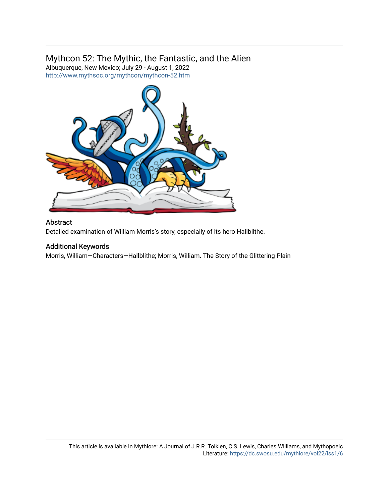## Mythcon 52: The Mythic, the Fantastic, and the Alien

Albuquerque, New Mexico; July 29 - August 1, 2022 <http://www.mythsoc.org/mythcon/mythcon-52.htm>



#### Abstract

Detailed examination of William Morris's story, especially of its hero Hallblithe.

### Additional Keywords

Morris, William—Characters—Hallblithe; Morris, William. The Story of the Glittering Plain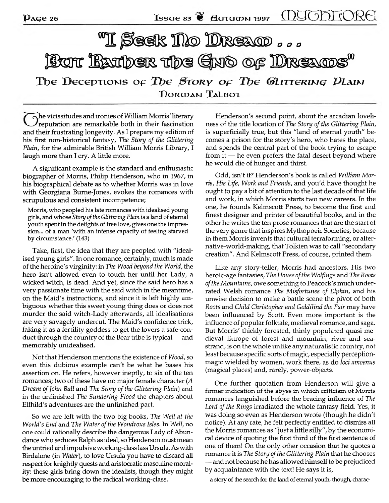# *" I S e e k N o D r e a m ... B u t R a t h e r t h e E n d o f D r e a m s " T h e D e c e p t i o n s* The Deceptions of The Story of The Glittering Plain **Norman Talbot**

 $\Omega$  he vicissitudes and ironies of William Morris' literary **Treputation are remarkable both in their fascination** and their frustrating longevity. As I prepare my edition of his first non-historical fantasy, *The Story of the Glittering Plain,* for the admirable British William Morris Library, I laugh more than I cry. A little more.

A significant example is the standard and enthusiastic biographer of Morris, Philip Henderson, who in 1967, in his biographical debate as to whether Morris was in love with Georgiana Burne-Jones, evokes the romances with scrupulous and consistent incompetence;

**Morris, w ho peopled his late romances with idealised young girls, and whose** *Story of the Glittering Plain* **is a land of eternal youth spent in the delights of free love, gives one the impression... of a man 'with an intense capacity of feeling starved by circumstance.' (143)**

Take, first, the idea that they are peopled with "idealised young girls". In one romance, certainly, much is made of the heroine's virginity: in *The Wood beyond the World,* the hero isn't allowed even to touch her until her Lady, a wicked witch, is dead. And yet, since the said hero has a very passionate time with the said witch in the meantime, on the Maid's instructions, and since it is left highly ambiguous w hether this sweet young thing does or does not murder the said witch-Lady afterwards, all idealisations are very savagely undercut. The Maid's confidence trick, faking it as a fertility goddess to get the lovers a safe-conduct through the country of the Bear tribe is typical — and memorably unidealised.

Not that Henderson mentions the existence of *Wood*, so even this dubious example can't be what he bases his assertion on. He refers, however ineptly, to six of the ten romances; two of these have no major female character (A *Dream of John Ball* and *The Story of the Glittering Plain)* and in the unfinished *The Sundering Flood* the chapters about Elfhild's adventures are the unfinished part.

So we are left with the two big books, *The Well at the World's End* and *The Water of the Wondrous Isles.* In *Well,* no one could rationally describe the dangerous Lady of Abundance who seduces Ralph as ideal, so Henderson must mean the untried and impulsive working-class lass Ursula. As with Birdalone (in *Water),* to love Ursula you have to discard all respect for knightly quests and aristocratic masculine morality: these girls bring down the idealists, though they might be more encouraging to the radical working-class.

Henderson's second point, about the arcadian loveliness of the title location of *The Story of the Glittering Plain,* is superficially true, but this "land of eternal youth" becomes a prison for the story's hero, who hates the place, and spends the central part of the book trying to escape from it — he even prefers the fatal desert beyond where he would die of hunger and thirst.

Odd, isn't it? Henderson's book is called *William Morris, His Life, Work and Friends,* and you'd have thought he ought to pay a bit of attention to the last decade of that life and work, in which Morris starts two new careers. In the one, he founds Kelmscott Press, to become the first and finest designer and printer of beautiful books, and in the other he writes the ten prose romances that are the start of the very genre that inspires Mythopoeic Societies, because in them Morris invents that cultural terraforming, or alternative-w orld-m aking, that Tolkien w as to call "secondary creation". A nd Kelmscott Press, of course, printed them.

Like any story-teller, Morris had ancestors. His two heroic-age fantasies, *The House of the Wolfings* and *The Roots of the Mountains, owe something to Peacock's much under*rated Welsh romance *The Misfortunes of Elphin*, and his unwise decision to make a battle scene the pivot of both *Roots* and *Child Christopher and Goldilind the Fair* may have been influenced by Scott. Even more important is the influence of popular folktale, medieval romance, and saga. But Morris' thickly-forested, thinly-populated quasi-medieval Europe of forest and mountain, river and seastrand, is on the whole unlike any naturalistic country, not least because specific sorts of magic, especially perceptionmagic wielded by women, work there, as do *loci amoenus* (magical places) and, rarely, power-objects.

One further quotation from Henderson will give a firmer indication of the abyss in which criticism of Morris romances languished before the bracing influence of *The Lord of the Rings* irradiated the whole fantasy field. Yes, it was doing so even as Henderson wrote (though he didn't notice). At any rate, he felt perfectly entitled to dism iss **all** the Morris romances as "just a little silly", by the economical device of quoting the first third of the first sentence of one of them! On the only other occasion that he quotes a romance it is *The Story of the Glittering Plain* that he chooses — and not because he has allowed him self to be prejudiced by acquaintance with the text! He says it is,

**a story of the search for the land of eternal youth, though, charac-**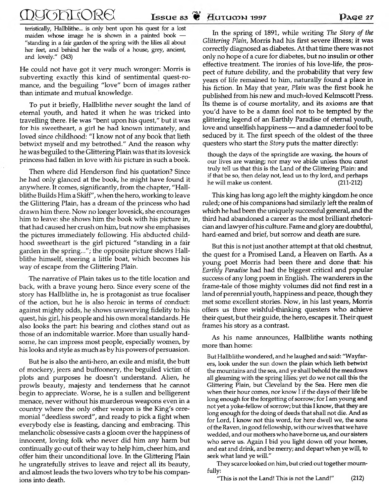teristically, Hallblithe... is only bent upon his quest for a lost maiden whose image he is shown in a painted book — "standing in a fair garden of the spring with the lilies all about her feet, and behind her the walls of a house, grey, ancient, and lovely." (343)

He could not have got it very much wronger: Morris is subverting exactly this kind of sentimental quest-romance, and the beguiling "love" born of images rather than intimate and mutual knowledge.

To put it briefly, Hallblithe never sought the land of eternal youth, and hated it when he was tricked into travelling there. He was "bent upon his quest," but it was for his sweetheart, a girl he had known intimately, and loved since childhood: "I know not of any book that lieth betwixt myself and my betrothed." And the reason why he was beguiled to the Glittering Plain was that its lovesick princess had fallen in love with his picture in such a book.

Then where did Henderson find his quotation? Since he had only glanced at the book, he might have found it anywhere. It comes, significantly, from the chapter, "Hallblithe Builds Him a Skiff", when the hero, working to leave the Glittering Plain, has a dream of the princess who had drawn him there. Now no longer lovesick, she encourages him to leave: she shows him the book with his picture in, that had caused her crush on him, but now she emphasises the pictures immediately following. His abducted childhood sw eetheart is the girl pictured "standing in a fair garden in the spring..."; the opposite picture shows Hallblithe himself, steering a little boat, which becomes his way of escape from the Glittering Plain.

The narrative of Plain takes us to the title location and back, with a brave young hero. Since every scene of the story has Hallblithe in, he is protagonist as true focaliser of the action, but he is also heroic in terms of conduct: against mighty odds, he shows unswerving fidelity to his quest, his girl, his people and his own moral standards. He also looks the part: his bearing and clothes stand out as those of an indomitable warrior. More than usually handsome, he can impress most people, especially women, by his looks and style as much as by his powers of persuasion.

But he is also the anti-hero, an exile and misfit, the butt of mockery, jeers and buffoonery, the beguiled victim of plots and purposes he doesn't understand. Alien, he prow ls beauty, m ajesty and tenderness that he cannot begin to appreciate. Worse, he is a sullen and belligerent menace, never without his murderous weapons even in a country where the only other weapon is the King's ceremonial "deedless sword", and ready to pick a fight when everybody else is feasting, dancing and embracing. This melancholic obsessive casts a gloom over the happiness of innocent, loving folk who never did him any harm but continually go out of their way to help him, cheer him, and offer him their unconditional love. In the Glittering Plain he ungratefully strives to leave and reject all its beauty, and almost leads the two lovers who try to be his companions into death.

In the spring of 1891, while writing *The Story of the* Glittering Plain, Morris had his first severe illness; it was correctly diagnosed as diabetes. At that time there was not only no hope of a cure for diabetes, but no insulin or other effective treatment. The ironies of his love-life, the prospect of future debility, and the probability that very few years of life remained to him, naturally found a place in his fiction. In May that year, *Plain* was the first book he published from his new and much-loved Kelmscott Press. Its theme is of course mortality, and its axioms are that you'd have to be a damn fool not to be tempted by the glittering legend of an Earthly Paradise of eternal youth, love and unselfish happiness — and a damneder fool to be seduced by it. The first speech of the oldest of the three questers who start the *Story* puts the matter directly:

though the days of the springtide are waxing, the hours of our lives are waning; nor may we abide unless thou canst truly tell us that this is the Land of the Glittering Plain: and if that be so, then delay not, lead us to thy lord, and perhaps he will make us content. (211-212)

This king has long ago left the mighty kingdom he once ruled; one of his companions had similarly left the realm of which he had been the uniquely successful general, and the third had abandoned a career as the most brilliant rhetorician and law yer of his culture. Fame and glory are doubtful, hard-earned and brief, but sorrow and death are sure.

But this is not just another attempt at that old chestnut, the quest for a Promised Land, a Heaven on Earth. As a young poet Morris had been there and done that: his *Earthly Paradise* had had the biggest critical and popular success of any long poem in English. The wanderers in the frame-tale of those mighty volumes did not find rest in a land of perennial youth, happiness and peace, though they met some excellent stories. Now, in his last years, Morris offers us three wishful-thinking questers who achieve their quest, but their guide, the hero, escapes it. Their quest frames his story as a contrast.

As his name announces, Hallblithe wants nothing more than home:

But Hallblithe wondered, and he laughed and said: "Wayfarers, look under the sun down the plain which lieth betwixt the mountains and the sea, and ye shall behold the meadows all gleaming with the spring lilies; yet do we not call this the Glittering Plain, but Cleveland by the Sea. Here men die when their hour comes, nor know I if the days of their life be long enough for the forgetting of sorrow; for I am young and not yet a yoke-fellow of sorrow; but this I know, that they are long enough for the doing of deeds that shall not die. And as for Lord, I know not this word, for here dwell we, the sons of the Raven, in good fellowship, with our wives that we have wedded, and our mothers who have borne us, and our sisters who serve us. Again I bid you light down off your horses, and eat and drink, and be merry; and depart when ye will, to seek what land ye will."

They scarce looked on him, but cried out together mournfully:

"This is not the Land! This is not the Land!" (212)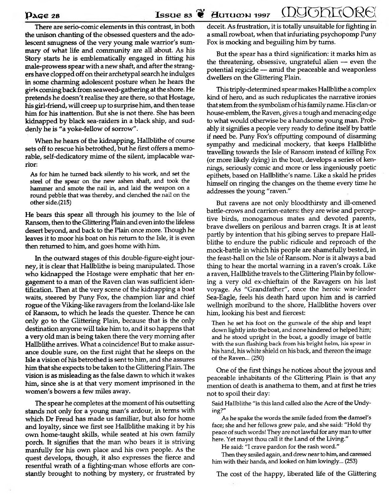## $\mathbf{p_{age\ 28}}$  **Issue 83**  $\overset{\mathbf{w}}{\bullet}$  Autumn 1997  $\Omega$ UUONL $\Omega$ RC

There are serio-comic elements in this contrast, in both the unison chanting of the obsessed questers and the adolescent smugness of the very young male warrior's summary of what life and community are all about. As his Story starts he is emblematically engaged in fitting his male-prowess spear with a new shaft, and after the strangers have clopped off on their archetypal search he indulges in some charming adolescent posture when he hears the girls coming back from seaweed-gathering at the shore. He pretends he doesn't realise they are there, so that Hostage, his girl-friend, will creep up to surprise him, and then tease him for his inattention. But she is not there. She has been kidnapped by black sea-raiders in a black ship, and suddenly he is "a yoke-fellow of sorrow".

When he hears of the kidnapping, Hallblithe of course sets off to rescue his betrothed, but he first offers a memorable, self-dedicatory mime of the silent, implacable warrior:

As for him he turned back silently to his work, and set the steel of the spear on the new ashen shaft, and took the hammer and smote the nail in, and laid the weapon on a round pebble that was thereby, and clenched the nail on the other side.(215)

He bears this spear all through his journey to the Isle of Ransom, then to the Glittering Plain and even into the lifeless desert beyond, and back to the Plain once more. Though he leaves it to moor his boat on his return to the Isle, it is even then returned to him, and goes home with him.

In the outw ard stages of this double-figure-eight journey, it is clear that Hallblithe is being manipulated. Those who kidnapped the Hostage were emphatic that her engagement to a man of the Raven clan was sufficient identification. Then at the very scene of the kidnapping a boat waits, steered by Puny Fox, the champion liar and chief rogue of the Viking-like ravagers from die Iceland-like Isle of Ransom, to which he leads the quester. Thence he can only go to the Glittering Plain, because that is the only destination anyone will take him to, and it so happens that a very old man is being taken there the very morning after Hallblithe arrives. What a coincidence! But to make assurance double sure, on the first night that he sleeps on the Isle a vision of his betrothed is sent to him, and she assures him that she expects to be taken to the Glittering Plain. The vision is as misleading as the false dawn to which it wakes him, since she is at that very moment imprisoned in the women's bowers a few miles away.

The spear he completes at the moment of his outsetting stands not only for a young man's ardour, in terms with which Dr Freud has made us familiar, but also for home and loyalty, since we first see Hallblithe making it by his own home-taught skills, while seated at his own family porch. It signifies that the man who bears it is striving manfully for his own place and his own people. As the quest develops, though, it also expresses the fierce and resentful wrath of a fighting-man whose efforts are constantly brought to nothing by mystery, or frustrated by

deceit. As frustration, it is totally unsuitable for fighting in a small rowboat, when that infuriating psychopomp Puny Fox is mocking and beguiling him by turns.

But the spear has a third signification: it marks him as the threatening, obsessive, ungrateful alien — even the potential regicide — amid the peaceable and weaponless dwellers on the Glittering Plain.

This triply-determined spear makes Hallblithe a complex kind of hero, and as such reduplicates the narrative ironies that stem from the symbolism of his family name. His clan-or house-emblem, the Raven, gives a tough and menacing edge to what would otherwise be a handsome young man. Probably it signifies a people very ready to define itself by battle if need be. Puny Fox's offputting compound of disarming sympathy and medicinal mockery, that keeps Hallblithe travelling towards the Isle of Ransom instead of killing Fox (or more likely dying) in the boat, develops a series of kennings, seriously comic and more or less ingeniously poetic epithets, based on Hallblithe's name. Like a skald he prides himself on ringing the changes on the theme every time he addresses the young "raven."

But ravens are not only bloodthirsty and ill-omened battle-crows and carrion-eaters: they are wise and perceptive birds, monogamous mates and devoted parents, brave dwellers on perilous and barren crags. It is at least partly by intention that his gibing serves to prepare Hallblithe to endure the public ridicule and reproach of the mock-battle in which his people are shamefully bested, in the feast-hall on the Isle of Ransom. Nor is it always a bad thing to hear the mortal warning in a raven's croak. Like a raven, Hallblithe travels to the Glittering Plain by following a very old ex-chieftain of the Ravagers on his last voyage. As "Grandfather", once the heroic war-leader Sea-Eagle, feels his death hard upon him and is carried wellnigh moribund to the shore, Hallblithe hovers over him, looking his best and fiercest:

Then he set his foot on the gunwale of the ship and leapt down lightly into the boat, and none hindered or helped him; and he stood upright in the boat, a goodly image of battle with the sun flashing back from his bright helm, his spear in his hand, his white shield on his back, and thereon the image of the Raven... (250)

One of the first things he notices about the joyous and peaceable inhabitants of the Glittering Plain is that any mention of death is anathema to them, and at first he tries not to spoil their day:

Said Hallblithe "is this land called also the Acre of the Undying?"

As he spake the words the smile faded from the damsel's face; she and her fellows grew pale, and she said: "Hold thy peace of such words! They are not lawful for any man to utter here. Yet mayst thou call it the Land of the Living."

He said: "I crave pardon for the rash word."

Then they smiled again, and drew near to him, and caressed him with their hands, and looked on him lovingly... (253)

The cost of the happy, liberated life of the Glittering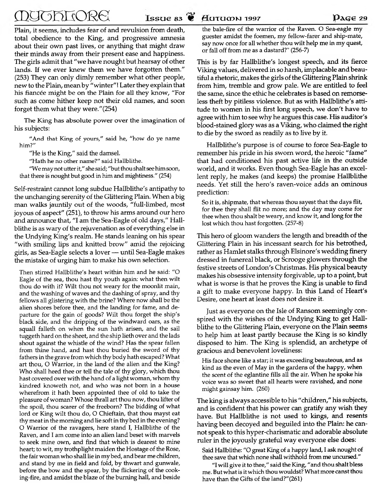## $\text{M}$   $\text{M}$   $\text{N}$   $\text{M}$   $\text{M}$   $\text{M}$   $\text{M}$   $\text{M}$   $\text{M}$   $\text{M}$   $\text{M}$   $\text{M}$   $\text{M}$   $\text{M}$   $\text{M}$   $\text{M}$   $\text{M}$   $\text{M}$   $\text{M}$   $\text{M}$   $\text{M}$   $\text{M}$   $\text{M}$   $\text{M}$   $\text{M}$   $\text{M}$   $\text{M}$   $\text{M$

Plain, it seems, includes fear of and revulsion from death, total obedience to the King, and progressive amnesia about their own past lives, or anything that might draw their minds away from their present ease and happiness. The girls admit that "we have nought but hearsay of other lands. If we ever knew them we have forgotten them." (253) They can only dimly remember what other people, new to the Plain, mean by "winter"! Later they explain that his fiancee might be on the Plain for all they know, "For such as come hither keep not their old names, and soon forget them what they were." $(254)$ 

The King has absolute power over the imagination of **his subjects:**

**"And that King of yours," said he, "how do ye name him?"**

"He is the King," said the damsel.

**"Hath he no other name?" said Hallblithe.**

**"We may not utter it," she said; "but thou shalt see him soon, that there is nought but good in him and mightiness." (254)**

Self-restraint cannot long subdue Hallbiithe's antipathy to the unchanging serenity of the Glittering Plain. When a big man walks jauntily out of the woods, "full-limbed, most joyous of aspect" (251), to throw his arms around our hero and announce that, "I am the Sea-Eagle of old days," Hallblithe is as wary of the rejuvenation as of everything else in the Undying King's realm. He stands leaning on his spear "with smiling lips and knitted brow" amid the rejoicing girls, as Sea-Eagle selects a lover — until Sea-Eagle makes the mistake of urging him to make his own selection.

**Then stirred Hallbiithe's heart within him and he said: "O Eagle of the sea, thou hast thy youth again: what then wilt thou do with it? Wilt thou not weary for the moonlit main, and the washing of w aves and the dashing of spray, and thy fellows all glistering with the brine? Where now shall be the alien shores before thee, and the landing for fame, and departure for the gain of goods? Wilt thou forget the ship's black side, and the dripping of the windward oars, as the squall falleth on when the sun hath arisen, and the sail tuggeth hard on the sheet, and the ship lieth over and the lads shout against the whistle of the wind? Has the spear fallen from thine hand, and hast thou buried the sword of thy fathers in the grave from which thy body hath escaped? What art thou, O Warrior, in the land of the alien and the King? Who shall heed thee or tell the tale of thy glory, which thou hast covered over with the hand of a light woman, whom thy kindred knoweth not, and w ho was not bom in a house wherefrom it hath been appointed thee of old to take the pleasure of woman? Whose thrall art thou now, thou lifter of the spoil, thou scarer of the freeborn? The bidding of what lord or King wilt thou do, O Chieftain, that thou mayst eat thy meat in the morning and lie soft in thy bed in the evening? O Warrior of the ravagers, here stand I, Hallblithe of the Raven, and I am come into an alien land beset with marvels to seek mine own, and find that which is dearest to mine heart; to wit, my trothplight maiden the Hostage of the Rose, the fair wom an w ho shall lie in my bed, and bear me children, and stand by me in field and fold, by thwart and gunwale, before the bow and the spear, by the flickering of the cooking-fire, and amidst the blaze of the burning hall, and beside**

**the bale-fire of the warrior of the Raven. O Sea-eagle my guester amidst the foemen, my fellow-farer and ship-mate, say now once for all whether thou wilt help me in my quest, or fall off from me as a dastard?" (256-7)**

This is by far Hallblithe's longest speech, and its fierce Viking values, delivered in so harsh, im placable and beautiful a rhetoric, makes the girls of the Glittering Plain shrink from him, tremble and grow pale. We are entitled to feel the same, since the ethic he celebrates is based on remorseless theft by pitiless violence. But as with Hallblithe's attitude to women in his first long speech, we don't have to agree with him to see why he argues this case. His auditor's blood-stained glory was as a Viking, who claimed the right to die by the sword as readily as to live by it.

Hallbiithe's purpose is of course to force Sea-Eagle to rem em ber his pride in his sworn word, the heroic "fame" that had conditioned his past active life in the outside world, and it works. Even though Sea-Eagle has an excellent reply, he makes (and keeps) the promise Hallblithe needs. Yet still the hero's raven-voice adds an ominous prediction:

**So it is, shipmate, that whereas thou sayest that the days flit, for thee they shall flit no more; and the day may come for thee when thou shalt be weary, and know it, and long for the lost which thou hast forgotten. (257-8)**

This hero of gloom wanders the length and breadth of the Glittering Plain in his incessant search for his betrothed, rather as Hamlet stalks through Elsinore's wedding finery dressed in funereal black, or Scrooge glowers through the festive streets of London's Christmas. His physical beauty makes his obsessive intensity forgivable, up to a point, but what is worse is that he proves the King is unable to find a gift to make everyone happy. In this Land of Heart's Desire, one heart at least does not desire it.

Just as everyone on the Isle of Ransom seemingly conspired with the wishes of the Undying King to get Hallblithe to the Glittering Plain, everyone on the Plain seems to help him at least partly because the King is so kindly disposed to him. The King is splendid, an archetype of gracious and benevolent loveliness:

**His face shone like a star; it was exceeding beauteous, and as kind as the even of May in the gardens of the happy, when the scent of the eglantine fills all the air. When he spoke his voice was so sweet that all hearts were ravished, and none might gainsay him. (260)**

The king is always accessible to his "children," his subjects, and is confident that his power can gratify any wish they have. But Hallblithe is not used to kings, and resents having been decoyed and beguiled into the Plain: he cannot speak to this hyper-charism atic and adorable absolute ruler in the joyously grateful way everyone else does:

**Said Hallblithe: "O great King of a happy land, I ask nought of thee save that which none shall withhold from me uncursed."**

**"I w ill give it to thee," said the King, "and thou shalt bless me. But what is it which thou wouldst? What more canst thou have than the Gifts of the land?"(261)**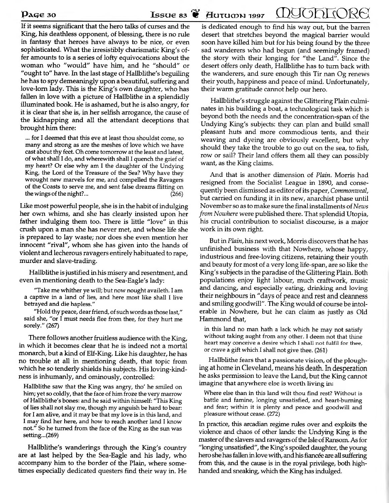If it seems significant that the hero talks of curses and the King, his deathless opponent, of blessing, there is no rule in fantasy that heroes have always to be nice, or even sophisticated. What the irresistibly charismatic King's offer am ounts to is a series of lofty equivocations about the woman who "would" have him, and he "should" or "ought to" have. In the last stage of Hallblithe's beguiling he has to spy demeaningly upon a beautiful, suffering and love-lorn lady. This is the King's own daughter, who has fallen in love with a picture of Hallblithe in a splendidly illuminated book. He is ashamed, but he is also angry, for it is clear that she is, in her selfish arrogance, the cause of the kidnapping and all the attendant deceptions that brought him there:

... for I deemed that this eve at least thou shouldst come, so many and strong as are the meshes of love which we have cast about thy feet. Oh come tomorrow at the least and latest, of what shall I do, and wherewith shall I quench the grief of my heart? Or else why am I the daughter of the Undying King, the Lord of the Treasure of the Sea? Why have they wrought new marvels for me, and compelled the Ravagers of the Coasts to serve me, and sent false dreams flitting on the wings of the night?... (266)

Like most powerful people, she is in the habit of indulging her own whims, and she has clearly insisted upon her father indulging them too. There is little "love" in this crush upon a man she has never met, and whose life she is prepared to lay waste; nor does she even mention her innocent "rival", whom she has given into the hands of violent and lecherous ravagers entirely habituated to rape, murder and slave-trading.

Hallblithe is justified in his misery and resentment, and even in mentioning death to the Sea-Eagle's lady:

"Take me whither ye will; but now nought availeth. I am a captive in a land of lies, and here most like shall I live betrayed and die hapless."

"Hold thy peace, dear friend, of such words as those last," said she, "or I must needs flee from thee, for they hurt me sorely." (26*7)*

There follows another fruitless audience with the King, in which it becomes clear that he is indeed not a mortal monarch, but a kind of Elf-King. Like his daughter, he has no trouble at all in mentioning death, that topic from which he so tenderly shields his subjects. His loving-kindness is inhumanly, and ominously, controlled:

Hallblithe saw that the King was angry, tho' he smiled on him; yet so coldly, that the face of him froze the very marrow of Hallblithe's bones: and he said within himself: "This King of lies shall not slay me, though my anguish be hard to bear: for I am alive, and it may be that my love is in this land, and I may find her here, and how to reach another land I know not." So he turned from the face of the King as the sun was setting...(269)

Hallblithe's wanderings through the King's country are at last helped by the Sea-Eagle and his lady, who accompany him to the border of the Plain, where sometimes especially dedicated questers find their way in. He

is dedicated enough to find his way out, but the barren desert that stretches beyond the magical barrier would soon have killed him but for his being found by the three sad wanderers who had begun (and seemingly framed) the story w ith their longing for "the Land". Since the desert offers only death, Hallblithe has to turn back with the wanderers, and sure enough this Tir nan Og renews their youth, happiness and peace of mind. Unfortunately, their warm gratitude cannot help our hero.

Hallblithe's struggle against the Glittering Plain culminates in his building a boat, a technological task which is beyond both the needs and the concentration-span of the Undying King's subjects: they can plan and build small pleasant huts and more commodious tents, and their weaving and dyeing are obviously excellent, but why should they take the trouble to go out on the sea, to fish, row or sail? Their land offers them all they can possibly want, as the King claims.

And that is another dimension of *Plain*. Morris had resigned from the Socialist League in 1890, and consequently been dism issed as editor of its paper, *Commonweal,* but carried on funding it in its new , anarchist phase until Novem ber so as to m ake sure the final installm ents of *News from Nowhere* were published there. That splendid Utopia, his crucial contribution to socialist discourse, is a major work in its own right.

But in *Plain*, his next work, Morris discovers that he has unfinished business with that Nowhere, whose happy, industrious and free-loving citizens, retaining their youth and beauty for m ost of a very long life-span, are so like the King's subjects in the paradise of the Glittering **Plain.** Both populations enjoy light labour, much craftwork, music and dancing, and especially eating, drinking and loving their neighbours **in** "days of **peace and** rest **and cleanness** and smiling goodwill". The King would of course be intolerable in Nowhere, but he can claim as justly as Old Hammond that,

in this land no man hath a lack which he may not satisfy without taking aught from any other. I deem not that thine heart may conceive a desire which I shall not fulfil for thee, or crave a gift which I shall not give thee. (261)

Hallblithe fears that a passionate vision, of the ploughing at **home** in **Cleveland, means his death. In desperation** he asks permission to leave the Land, but the King cannot imagine that anywhere else is worth living in:

Where else than in this land wilt thou find rest? Without is battle and famine, longing unsatisfied, and heart-burning and fear; within it is plenty and peace and goodwill and pleasure without cease. (272)

In practice, this arcadian regime rules over and exploits the violence and chaos of other lands: the Undying King is the master of the slavers and ravagers of the Isle of Ransom. As for "longing unsatisfied", the King's spoiled daughter, the young hero she has fallen in love with, and his fiancée are all suffering from this, and the cause is in the royal privilege, both highhanded and sneaking, which the King has indulged.

 $P$  age 30 **Issue 83**  $\bullet$  Autumn 1997  $\Box$  $\Box$  $\Box$  $\Box$  $\Box$  $\Box$  $\Box$